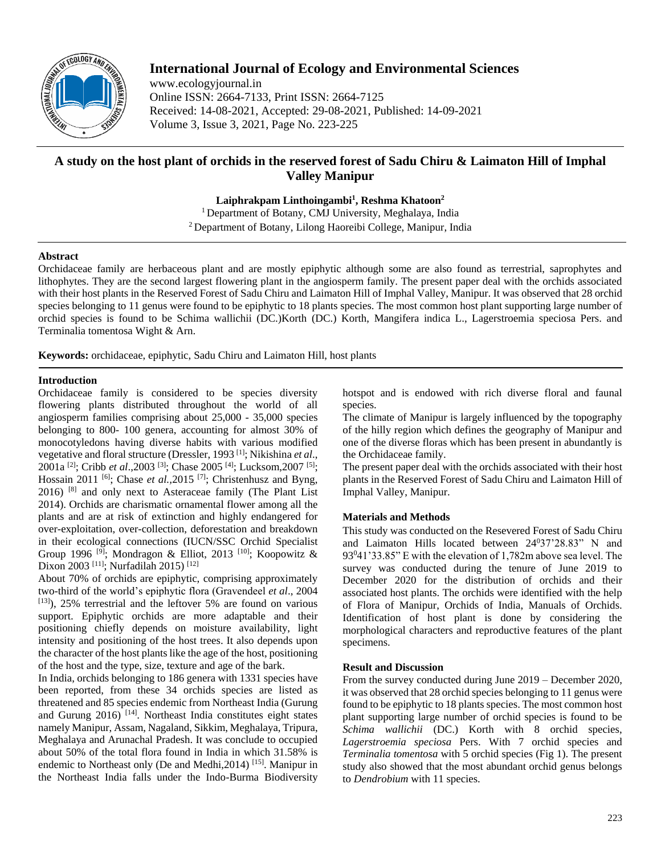

# **International Journal of Ecology and Environmental Sciences**

www.ecologyjournal.in Online ISSN: 2664-7133, Print ISSN: 2664-7125 Received: 14-08-2021, Accepted: 29-08-2021, Published: 14-09-2021 Volume 3, Issue 3, 2021, Page No. 223-225

# **A study on the host plant of orchids in the reserved forest of Sadu Chiru & Laimaton Hill of Imphal Valley Manipur**

**Laiphrakpam Linthoingambi<sup>1</sup> , Reshma Khatoon<sup>2</sup>**

<sup>1</sup> Department of Botany, CMJ University, Meghalaya, India <sup>2</sup> Department of Botany, Lilong Haoreibi College, Manipur, India

### **Abstract**

Orchidaceae family are herbaceous plant and are mostly epiphytic although some are also found as terrestrial, saprophytes and lithophytes. They are the second largest flowering plant in the angiosperm family. The present paper deal with the orchids associated with their host plants in the Reserved Forest of Sadu Chiru and Laimaton Hill of Imphal Valley, Manipur. It was observed that 28 orchid species belonging to 11 genus were found to be epiphytic to 18 plants species. The most common host plant supporting large number of orchid species is found to be Schima wallichii (DC.)Korth (DC.) Korth, Mangifera indica L., Lagerstroemia speciosa Pers. and Terminalia tomentosa Wight & Arn.

**Keywords:** orchidaceae, epiphytic, Sadu Chiru and Laimaton Hill, host plants

## **Introduction**

Orchidaceae family is considered to be species diversity flowering plants distributed throughout the world of all angiosperm families comprising about 25,000 - 35,000 species belonging to 800- 100 genera, accounting for almost 30% of monocotyledons having diverse habits with various modified vegetative and floral structure (Dressler, 1993 [1]; Nikishina *et al*., 2001a [2]; Cribb *et al*.,2003 [3]; Chase 2005 [4]; Lucksom,2007 [5]; Hossain 2011 <sup>[6]</sup>; Chase *et al.*, 2015 <sup>[7]</sup>; Christenhusz and Byng, 2016) [8] and only next to Asteraceae family (The Plant List 2014). Orchids are charismatic ornamental flower among all the plants and are at risk of extinction and highly endangered for over-exploitation, over-collection, deforestation and breakdown in their ecological connections (IUCN/SSC Orchid Specialist Group 1996 <sup>[9]</sup>; Mondragon & Elliot, 2013 <sup>[10]</sup>; Koopowitz & Dixon 2003<sup>[11]</sup>; Nurfadilah 2015)<sup>[12]</sup>

About 70% of orchids are epiphytic, comprising approximately two-third of the world's epiphytic flora (Gravendeel *et al*., 2004  $[13]$ , 25% terrestrial and the leftover 5% are found on various support. Epiphytic orchids are more adaptable and their positioning chiefly depends on moisture availability, light intensity and positioning of the host trees. It also depends upon the character of the host plants like the age of the host, positioning of the host and the type, size, texture and age of the bark.

In India, orchids belonging to 186 genera with 1331 species have been reported, from these 34 orchids species are listed as threatened and 85 species endemic from Northeast India (Gurung and Gurung  $2016$ <sup>[14]</sup>. Northeast India constitutes eight states namely Manipur, Assam, Nagaland, Sikkim, Meghalaya, Tripura, Meghalaya and Arunachal Pradesh. It was conclude to occupied about 50% of the total flora found in India in which 31.58% is endemic to Northeast only (De and Medhi, 2014) [15]. Manipur in the Northeast India falls under the Indo-Burma Biodiversity hotspot and is endowed with rich diverse floral and faunal species.

The climate of Manipur is largely influenced by the topography of the hilly region which defines the geography of Manipur and one of the diverse floras which has been present in abundantly is the Orchidaceae family.

The present paper deal with the orchids associated with their host plants in the Reserved Forest of Sadu Chiru and Laimaton Hill of Imphal Valley, Manipur.

## **Materials and Methods**

This study was conducted on the Resevered Forest of Sadu Chiru and Laimaton Hills located between 24°37'28.83" N and 93<sup>0</sup>41'33.85" E with the elevation of 1,782m above sea level. The survey was conducted during the tenure of June 2019 to December 2020 for the distribution of orchids and their associated host plants. The orchids were identified with the help of Flora of Manipur, Orchids of India, Manuals of Orchids. Identification of host plant is done by considering the morphological characters and reproductive features of the plant specimens.

#### **Result and Discussion**

From the survey conducted during June 2019 – December 2020, it was observed that 28 orchid species belonging to 11 genus were found to be epiphytic to 18 plants species. The most common host plant supporting large number of orchid species is found to be *Schima wallichii* (DC.) Korth with 8 orchid species, *Lagerstroemia speciosa* Pers. With 7 orchid species and *Terminalia tomentosa* with 5 orchid species (Fig 1). The present study also showed that the most abundant orchid genus belongs to *Dendrobium* with 11 species.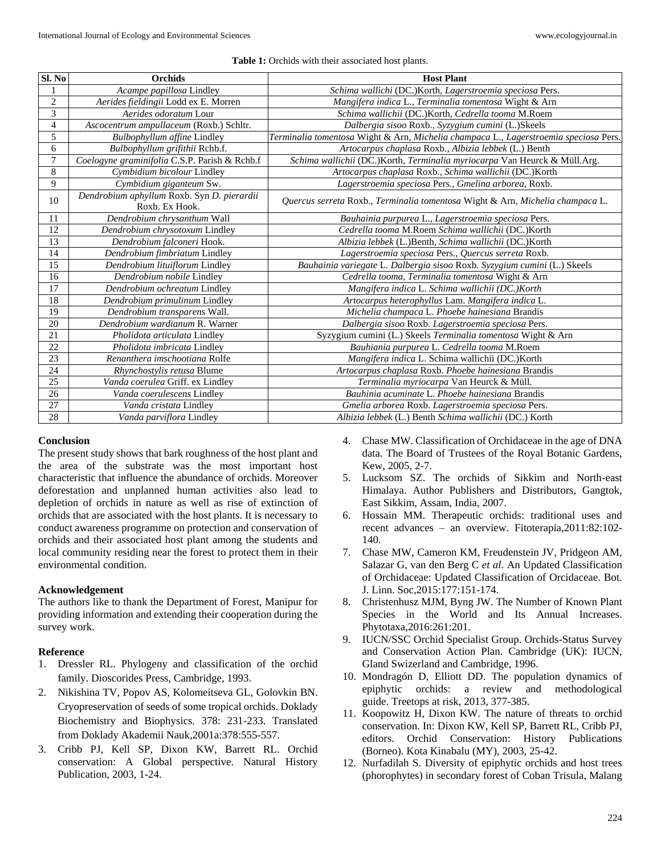#### **Table 1:** Orchids with their associated host plants.

| SI. No         | <b>Orchids</b>                                               | <b>Host Plant</b>                                                                    |
|----------------|--------------------------------------------------------------|--------------------------------------------------------------------------------------|
|                | Acampe papillosa Lindley                                     | Schima wallichi (DC.)Korth, Lagerstroemia speciosa Pers.                             |
| $\overline{c}$ | Aerides fieldingii Lodd ex E. Morren                         | Mangifera indica L., Terminalia tomentosa Wight & Arn                                |
| 3              | Aerides odoratum Lour                                        | Schima wallichii (DC.)Korth, Cedrella tooma M.Roem                                   |
| 4              | Ascocentrum ampullaceum (Roxb.) Schltr.                      | Dalbergia sisoo Roxb., Syzygium cumini (L.)Skeels                                    |
| 5              | <b>Bulbophyllum affine Lindley</b>                           | Terminalia tomentosa Wight & Arn, Michelia champaca L., Lagerstroemia speciosa Pers. |
| 6              | Bulbophyllum grifithii Rchb.f.                               | Artocarpus chaplasa Roxb., Albizia lebbek (L.) Benth                                 |
| $\tau$         | Coelogyne graminifolia C.S.P. Parish & Rchb.f                | Schima wallichii (DC.)Korth, Terminalia myriocarpa Van Heurck & Müll.Arg.            |
| $\,8\,$        | Cymbidium bicolour Lindley                                   | Artocarpus chaplasa Roxb., Schima wallichii (DC.)Korth                               |
| $\overline{9}$ | Cymbidium giganteum Sw.                                      | Lagerstroemia speciosa Pers., Gmelina arborea, Roxb.                                 |
| 10             | Dendrobium aphyllum Roxb. Syn D. pierardii<br>Roxb. Ex Hook. | Quercus serreta Roxb., Terminalia tomentosa Wight & Arn, Michelia champaca L.        |
| 11             | Dendrobium chrysanthum Wall                                  | Bauhainia purpurea L., Lagerstroemia speciosa Pers.                                  |
| 12             | Dendrobium chrysotoxum Lindley                               | Cedrella tooma M.Roem Schima wallichii (DC.)Korth                                    |
| 13             | Dendrobium falconeri Hook.                                   | Albizia lebbek (L.)Benth, Schima wallichii (DC.)Korth                                |
| 14             | Dendrobium fimbriatum Lindley                                | Lagerstroemia speciosa Pers., Quercus serreta Roxb.                                  |
| 15             | Dendrobium lituiflorum Lindley                               | Bauhainia variegate L. Dalbergia sisoo Roxb. Syzygium cumini (L.) Skeels             |
| 16             | Dendrobium nobile Lindley                                    | Cedrella tooma, Terminalia tomentosa Wight & Arn                                     |
| 17             | Dendrobium ochreatum Lindley                                 | Mangifera indica L. Schima wallichii (DC.)Korth                                      |
| 18             | Dendrobium primulinum Lindley                                | Artocarpus heterophyllus Lam. Mangifera indica L.                                    |
| 19             | Dendrobium transparens Wall.                                 | Michelia champaca L. Phoebe hainesiana Brandis                                       |
| 20             | Dendrobium wardianum R. Warner                               | Dalbergia sisoo Roxb. Lagerstroemia speciosa Pers.                                   |
| 21             | Pholidota articulata Lindley                                 | Syzygium cumini (L.) Skeels Terminalia tomentosa Wight & Arn                         |
| 22             | Pholidota imbricata Lindley                                  | Bauhiania purpurea L. Cedrella tooma M.Roem                                          |
| 23             | Renanthera imschootiana Rolfe                                | Mangifera indica L. Schima wallichii (DC.)Korth                                      |
| 24             | Rhynchostylis retusa Blume                                   | Artocarpus chaplasa Roxb. Phoebe hainesiana Brandis                                  |
| 25             | Vanda coerulea Griff. ex Lindley                             | Terminalia myriocarpa Van Heurck & Müll.                                             |
| 26             | Vanda coerulescens Lindley                                   | Bauhinia acuminate L. Phoebe hainesiana Brandis                                      |
| 27             | Vanda cristata Lindley                                       | Gmelia arborea Roxb. Lagerstroemia speciosa Pers.                                    |
| 28             | Vanda parviflora Lindley                                     | Albizia lebbek (L.) Benth Schima wallichii (DC.) Korth                               |

#### **Conclusion**

The present study shows that bark roughness of the host plant and the area of the substrate was the most important host characteristic that influence the abundance of orchids. Moreover deforestation and unplanned human activities also lead to depletion of orchids in nature as well as rise of extinction of orchids that are associated with the host plants. It is necessary to conduct awareness programme on protection and conservation of orchids and their associated host plant among the students and local community residing near the forest to protect them in their environmental condition.

### **Acknowledgement**

The authors like to thank the Department of Forest, Manipur for providing information and extending their cooperation during the survey work.

#### **Reference**

- 1. Dressler RL. Phylogeny and classification of the orchid family. Dioscorides Press, Cambridge, 1993.
- 2. Nikishina TV, Popov AS, Kolomeitseva GL, Golovkin BN. Cryopreservation of seeds of some tropical orchids. Doklady Biochemistry and Biophysics. 378: 231-233. Translated from Doklady Akademii Nauk,2001a:378:555-557.
- 3. Cribb PJ, Kell SP, Dixon KW, Barrett RL. Orchid conservation: A Global perspective. Natural History Publication, 2003, 1-24.
- 4. Chase MW. Classification of Orchidaceae in the age of DNA data. The Board of Trustees of the Royal Botanic Gardens, Kew, 2005, 2-7.
- 5. Lucksom SZ. The orchids of Sikkim and North-east Himalaya. Author Publishers and Distributors, Gangtok, East Sikkim, Assam, India, 2007.
- 6. Hossain MM. Therapeutic orchids: traditional uses and recent advances – an overview. Fitoterapia,2011:82:102- 140.
- 7. Chase MW, Cameron KM, Freudenstein JV, Pridgeon AM, Salazar G, van den Berg C *et al*. An Updated Classification of Orchidaceae: Updated Classification of Orcidaceae. Bot. J. Linn. Soc,2015:177:151-174.
- 8. Christenhusz MJM, Byng JW. The Number of Known Plant Species in the World and Its Annual Increases. Phytotaxa,2016:261:201.
- 9. IUCN/SSC Orchid Specialist Group. Orchids-Status Survey and Conservation Action Plan. Cambridge (UK): IUCN, Gland Swizerland and Cambridge, 1996.
- 10. Mondragón D, Elliott DD. The population dynamics of epiphytic orchids: a review and methodological guide. Treetops at risk, 2013, 377-385.
- 11. Koopowitz H, Dixon KW. The nature of threats to orchid conservation. In: Dixon KW, Kell SP, Barrett RL, Cribb PJ, editors. Orchid Conservation: History Publications (Borneo). Kota Kinabalu (MY), 2003, 25-42.
- 12. Nurfadilah S. Diversity of epiphytic orchids and host trees (phorophytes) in secondary forest of Coban Trisula, Malang